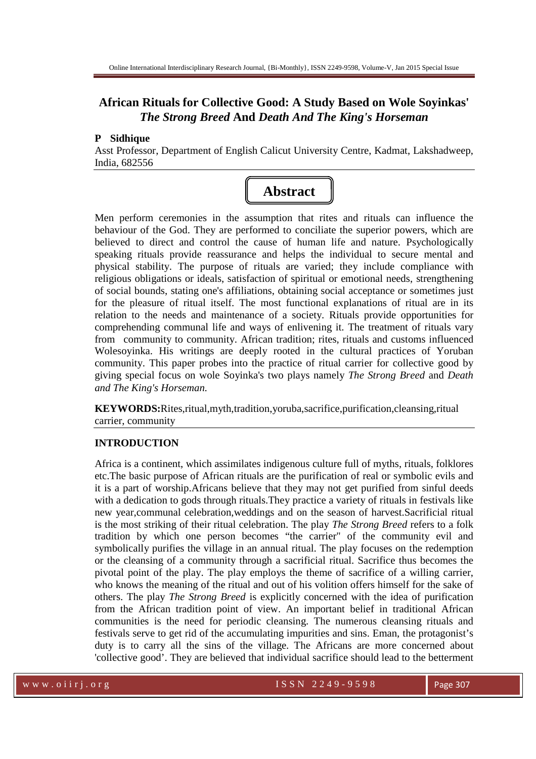# **African Rituals for Collective Good: A Study Based on Wole Soyinkas'**  *The Strong Breed* **And** *Death And The King's Horseman*

### **P Sidhique**

Asst Professor, Department of English Calicut University Centre, Kadmat, Lakshadweep, India, 682556



Men perform ceremonies in the assumption that rites and rituals can influence the behaviour of the God. They are performed to conciliate the superior powers, which are believed to direct and control the cause of human life and nature. Psychologically speaking rituals provide reassurance and helps the individual to secure mental and physical stability. The purpose of rituals are varied; they include compliance with religious obligations or ideals, satisfaction of spiritual or emotional needs, strengthening of social bounds, stating one's affiliations, obtaining social acceptance or sometimes just for the pleasure of ritual itself. The most functional explanations of ritual are in its relation to the needs and maintenance of a society. Rituals provide opportunities for comprehending communal life and ways of enlivening it. The treatment of rituals vary from community to community. African tradition; rites, rituals and customs influenced Wolesoyinka. His writings are deeply rooted in the cultural practices of Yoruban community. This paper probes into the practice of ritual carrier for collective good by giving special focus on wole Soyinka's two plays namely *The Strong Breed* and *Death and The King's Horseman.*

**KEYWORDS:**Rites,ritual,myth,tradition,yoruba,sacrifice,purification,cleansing,ritual carrier, community

## **INTRODUCTION**

Africa is a continent, which assimilates indigenous culture full of myths, rituals, folklores etc.The basic purpose of African rituals are the purification of real or symbolic evils and it is a part of worship.Africans believe that they may not get purified from sinful deeds with a dedication to gods through rituals.They practice a variety of rituals in festivals like new year,communal celebration,weddings and on the season of harvest.Sacrificial ritual is the most striking of their ritual celebration. The play *The Strong Breed* refers to a folk tradition by which one person becomes "the carrier" of the community evil and symbolically purifies the village in an annual ritual. The play focuses on the redemption or the cleansing of a community through a sacrificial ritual. Sacrifice thus becomes the pivotal point of the play. The play employs the theme of sacrifice of a willing carrier, who knows the meaning of the ritual and out of his volition offers himself for the sake of others. The play *The Strong Breed* is explicitly concerned with the idea of purification from the African tradition point of view. An important belief in traditional African communities is the need for periodic cleansing. The numerous cleansing rituals and festivals serve to get rid of the accumulating impurities and sins. Eman, the protagonist's duty is to carry all the sins of the village. The Africans are more concerned about 'collective good'. They are believed that individual sacrifice should lead to the betterment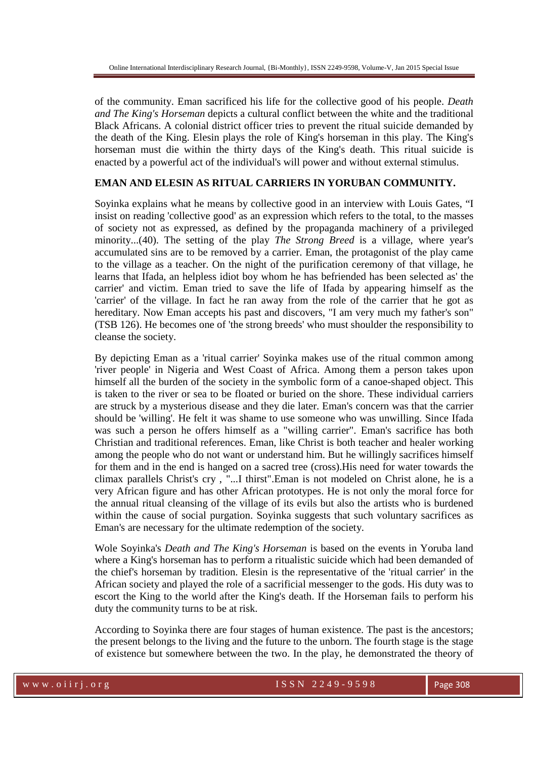of the community. Eman sacrificed his life for the collective good of his people. *Death and The King's Horseman* depicts a cultural conflict between the white and the traditional Black Africans. A colonial district officer tries to prevent the ritual suicide demanded by the death of the King. Elesin plays the role of King's horseman in this play. The King's horseman must die within the thirty days of the King's death. This ritual suicide is enacted by a powerful act of the individual's will power and without external stimulus.

# **EMAN AND ELESIN AS RITUAL CARRIERS IN YORUBAN COMMUNITY.**

Soyinka explains what he means by collective good in an interview with Louis Gates, "I insist on reading 'collective good' as an expression which refers to the total, to the masses of society not as expressed, as defined by the propaganda machinery of a privileged minority...(40). The setting of the play *The Strong Breed* is a village, where year's accumulated sins are to be removed by a carrier. Eman, the protagonist of the play came to the village as a teacher. On the night of the purification ceremony of that village, he learns that Ifada, an helpless idiot boy whom he has befriended has been selected as' the carrier' and victim. Eman tried to save the life of Ifada by appearing himself as the 'carrier' of the village. In fact he ran away from the role of the carrier that he got as hereditary. Now Eman accepts his past and discovers, "I am very much my father's son" (TSB 126). He becomes one of 'the strong breeds' who must shoulder the responsibility to cleanse the society.

By depicting Eman as a 'ritual carrier' Soyinka makes use of the ritual common among 'river people' in Nigeria and West Coast of Africa. Among them a person takes upon himself all the burden of the society in the symbolic form of a canoe-shaped object. This is taken to the river or sea to be floated or buried on the shore. These individual carriers are struck by a mysterious disease and they die later. Eman's concern was that the carrier should be 'willing'. He felt it was shame to use someone who was unwilling. Since Ifada was such a person he offers himself as a "willing carrier". Eman's sacrifice has both Christian and traditional references. Eman, like Christ is both teacher and healer working among the people who do not want or understand him. But he willingly sacrifices himself for them and in the end is hanged on a sacred tree (cross).His need for water towards the climax parallels Christ's cry , "...I thirst".Eman is not modeled on Christ alone, he is a very African figure and has other African prototypes. He is not only the moral force for the annual ritual cleansing of the village of its evils but also the artists who is burdened within the cause of social purgation. Soyinka suggests that such voluntary sacrifices as Eman's are necessary for the ultimate redemption of the society.

Wole Soyinka's *Death and The King's Horseman* is based on the events in Yoruba land where a King's horseman has to perform a ritualistic suicide which had been demanded of the chief's horseman by tradition. Elesin is the representative of the 'ritual carrier' in the African society and played the role of a sacrificial messenger to the gods. His duty was to escort the King to the world after the King's death. If the Horseman fails to perform his duty the community turns to be at risk.

According to Soyinka there are four stages of human existence. The past is the ancestors; the present belongs to the living and the future to the unborn. The fourth stage is the stage of existence but somewhere between the two. In the play, he demonstrated the theory of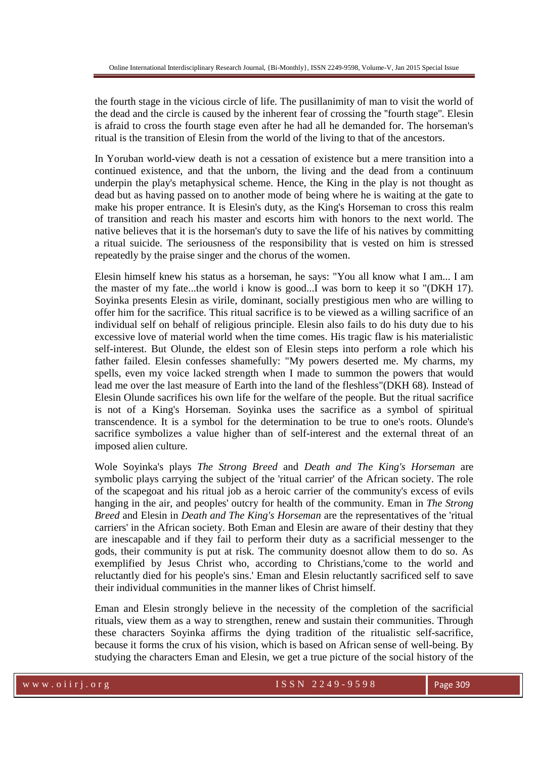the fourth stage in the vicious circle of life. The pusillanimity of man to visit the world of the dead and the circle is caused by the inherent fear of crossing the ''fourth stage''. Elesin is afraid to cross the fourth stage even after he had all he demanded for. The horseman's ritual is the transition of Elesin from the world of the living to that of the ancestors.

In Yoruban world-view death is not a cessation of existence but a mere transition into a continued existence, and that the unborn, the living and the dead from a continuum underpin the play's metaphysical scheme. Hence, the King in the play is not thought as dead but as having passed on to another mode of being where he is waiting at the gate to make his proper entrance. It is Elesin's duty, as the King's Horseman to cross this realm of transition and reach his master and escorts him with honors to the next world. The native believes that it is the horseman's duty to save the life of his natives by committing a ritual suicide. The seriousness of the responsibility that is vested on him is stressed repeatedly by the praise singer and the chorus of the women.

Elesin himself knew his status as a horseman, he says: "You all know what I am... I am the master of my fate...the world i know is good...I was born to keep it so "(DKH 17). Soyinka presents Elesin as virile, dominant, socially prestigious men who are willing to offer him for the sacrifice. This ritual sacrifice is to be viewed as a willing sacrifice of an individual self on behalf of religious principle. Elesin also fails to do his duty due to his excessive love of material world when the time comes. His tragic flaw is his materialistic self-interest. But Olunde, the eldest son of Elesin steps into perform a role which his father failed. Elesin confesses shamefully: "My powers deserted me. My charms, my spells, even my voice lacked strength when I made to summon the powers that would lead me over the last measure of Earth into the land of the fleshless"(DKH 68). Instead of Elesin Olunde sacrifices his own life for the welfare of the people. But the ritual sacrifice is not of a King's Horseman. Soyinka uses the sacrifice as a symbol of spiritual transcendence. It is a symbol for the determination to be true to one's roots. Olunde's sacrifice symbolizes a value higher than of self-interest and the external threat of an imposed alien culture.

Wole Soyinka's plays *The Strong Breed* and *Death and The King's Horseman* are symbolic plays carrying the subject of the 'ritual carrier' of the African society. The role of the scapegoat and his ritual job as a heroic carrier of the community's excess of evils hanging in the air, and peoples' outcry for health of the community. Eman in *The Strong Breed* and Elesin in *Death and The King's Horseman* are the representatives of the 'ritual carriers' in the African society. Both Eman and Elesin are aware of their destiny that they are inescapable and if they fail to perform their duty as a sacrificial messenger to the gods, their community is put at risk. The community doesnot allow them to do so. As exemplified by Jesus Christ who, according to Christians,'come to the world and reluctantly died for his people's sins.' Eman and Elesin reluctantly sacrificed self to save their individual communities in the manner likes of Christ himself.

Eman and Elesin strongly believe in the necessity of the completion of the sacrificial rituals, view them as a way to strengthen, renew and sustain their communities. Through these characters Soyinka affirms the dying tradition of the ritualistic self-sacrifice, because it forms the crux of his vision, which is based on African sense of well-being. By studying the characters Eman and Elesin, we get a true picture of the social history of the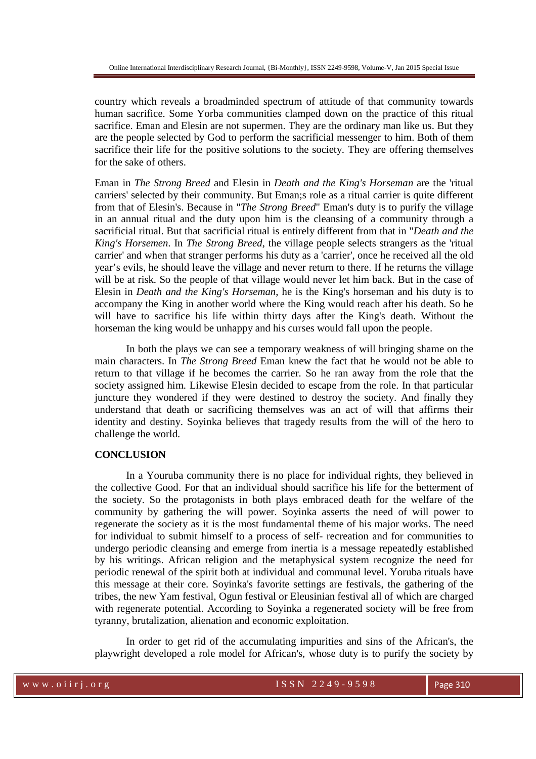country which reveals a broadminded spectrum of attitude of that community towards human sacrifice. Some Yorba communities clamped down on the practice of this ritual sacrifice. Eman and Elesin are not supermen. They are the ordinary man like us. But they are the people selected by God to perform the sacrificial messenger to him. Both of them sacrifice their life for the positive solutions to the society. They are offering themselves for the sake of others.

Eman in *The Strong Breed* and Elesin in *Death and the King's Horseman* are the 'ritual carriers' selected by their community. But Eman;s role as a ritual carrier is quite different from that of Elesin's. Because in "*The Strong Breed*" Eman's duty is to purify the village in an annual ritual and the duty upon him is the cleansing of a community through a sacrificial ritual. But that sacrificial ritual is entirely different from that in "*Death and the King's Horsemen*. In *The Strong Breed*, the village people selects strangers as the 'ritual carrier' and when that stranger performs his duty as a 'carrier', once he received all the old year's evils, he should leave the village and never return to there. If he returns the village will be at risk. So the people of that village would never let him back. But in the case of Elesin in *Death and the King's Horseman*, he is the King's horseman and his duty is to accompany the King in another world where the King would reach after his death. So he will have to sacrifice his life within thirty days after the King's death. Without the horseman the king would be unhappy and his curses would fall upon the people.

 In both the plays we can see a temporary weakness of will bringing shame on the main characters. In *The Strong Breed* Eman knew the fact that he would not be able to return to that village if he becomes the carrier. So he ran away from the role that the society assigned him. Likewise Elesin decided to escape from the role. In that particular juncture they wondered if they were destined to destroy the society. And finally they understand that death or sacrificing themselves was an act of will that affirms their identity and destiny. Soyinka believes that tragedy results from the will of the hero to challenge the world.

#### **CONCLUSION**

 In a Youruba community there is no place for individual rights, they believed in the collective Good. For that an individual should sacrifice his life for the betterment of the society. So the protagonists in both plays embraced death for the welfare of the community by gathering the will power. Soyinka asserts the need of will power to regenerate the society as it is the most fundamental theme of his major works. The need for individual to submit himself to a process of self- recreation and for communities to undergo periodic cleansing and emerge from inertia is a message repeatedly established by his writings. African religion and the metaphysical system recognize the need for periodic renewal of the spirit both at individual and communal level. Yoruba rituals have this message at their core. Soyinka's favorite settings are festivals, the gathering of the tribes, the new Yam festival, Ogun festival or Eleusinian festival all of which are charged with regenerate potential. According to Soyinka a regenerated society will be free from tyranny, brutalization, alienation and economic exploitation.

 In order to get rid of the accumulating impurities and sins of the African's, the playwright developed a role model for African's, whose duty is to purify the society by